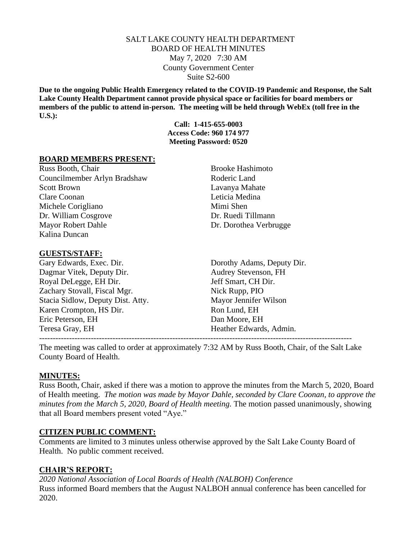## SALT LAKE COUNTY HEALTH DEPARTMENT BOARD OF HEALTH MINUTES May 7, 2020 7:30 AM County Government Center Suite S2-600

**Due to the ongoing Public Health Emergency related to the COVID-19 Pandemic and Response, the Salt Lake County Health Department cannot provide physical space or facilities for board members or members of the public to attend in-person. The meeting will be held through WebEx (toll free in the U.S.):**

> **Call: 1-415-655-0003 Access Code: 960 174 977 Meeting Password: 0520**

#### **BOARD MEMBERS PRESENT:**

Russ Booth, Chair Brooke Hashimoto Councilmember Arlyn Bradshaw Roderic Land Scott Brown Lavanya Mahate Clare Coonan Leticia Medina Michele Corigliano Mimi Shen Dr. William Cosgrove Dr. Ruedi Tillmann Mayor Robert Dahle Dr. Dorothea Verbrugge Kalina Duncan

#### **GUESTS/STAFF:**

Gary Edwards, Exec. Dir. Dorothy Adams, Deputy Dir. Dagmar Vitek, Deputy Dir. Audrey Stevenson, FH Royal DeLegge, EH Dir. Jeff Smart, CH Dir. Zachary Stovall, Fiscal Mgr. Nick Rupp, PIO Stacia Sidlow, Deputy Dist. Atty. Mayor Jennifer Wilson Karen Crompton, HS Dir. Ron Lund, EH Eric Peterson, EH Dan Moore, EH Teresa Gray, EH Heather Edwards, Admin.

-------------------------------------------------------------------------------------------------------------------

The meeting was called to order at approximately 7:32 AM by Russ Booth, Chair, of the Salt Lake County Board of Health.

#### **MINUTES:**

Russ Booth, Chair, asked if there was a motion to approve the minutes from the March 5, 2020, Board of Health meeting. *The motion was made by Mayor Dahle, seconded by Clare Coonan, to approve the minutes from the March 5, 2020, Board of Health meeting.* The motion passed unanimously, showing that all Board members present voted "Aye."

## **CITIZEN PUBLIC COMMENT:**

Comments are limited to 3 minutes unless otherwise approved by the Salt Lake County Board of Health. No public comment received.

## **CHAIR'S REPORT:**

*2020 National Association of Local Boards of Health (NALBOH) Conference* Russ informed Board members that the August NALBOH annual conference has been cancelled for 2020.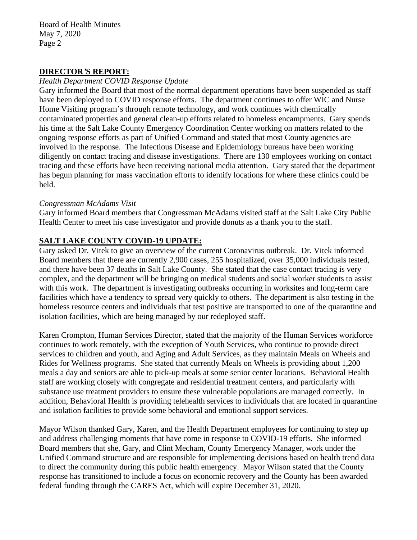Board of Health Minutes May 7, 2020 Page 2

# **DIRECTOR***'***S REPORT:**

## *Health Department COVID Response Update*

Gary informed the Board that most of the normal department operations have been suspended as staff have been deployed to COVID response efforts. The department continues to offer WIC and Nurse Home Visiting program's through remote technology, and work continues with chemically contaminated properties and general clean-up efforts related to homeless encampments. Gary spends his time at the Salt Lake County Emergency Coordination Center working on matters related to the ongoing response efforts as part of Unified Command and stated that most County agencies are involved in the response. The Infectious Disease and Epidemiology bureaus have been working diligently on contact tracing and disease investigations. There are 130 employees working on contact tracing and these efforts have been receiving national media attention. Gary stated that the department has begun planning for mass vaccination efforts to identify locations for where these clinics could be held.

#### *Congressman McAdams Visit*

Gary informed Board members that Congressman McAdams visited staff at the Salt Lake City Public Health Center to meet his case investigator and provide donuts as a thank you to the staff.

# **SALT LAKE COUNTY COVID-19 UPDATE:**

Gary asked Dr. Vitek to give an overview of the current Coronavirus outbreak. Dr. Vitek informed Board members that there are currently 2,900 cases, 255 hospitalized, over 35,000 individuals tested, and there have been 37 deaths in Salt Lake County. She stated that the case contact tracing is very complex, and the department will be bringing on medical students and social worker students to assist with this work. The department is investigating outbreaks occurring in worksites and long-term care facilities which have a tendency to spread very quickly to others. The department is also testing in the homeless resource centers and individuals that test positive are transported to one of the quarantine and isolation facilities, which are being managed by our redeployed staff.

Karen Crompton, Human Services Director, stated that the majority of the Human Services workforce continues to work remotely, with the exception of Youth Services, who continue to provide direct services to children and youth, and Aging and Adult Services, as they maintain Meals on Wheels and Rides for Wellness programs. She stated that currently Meals on Wheels is providing about 1,200 meals a day and seniors are able to pick-up meals at some senior center locations. Behavioral Health staff are working closely with congregate and residential treatment centers, and particularly with substance use treatment providers to ensure these vulnerable populations are managed correctly. In addition, Behavioral Health is providing telehealth services to individuals that are located in quarantine and isolation facilities to provide some behavioral and emotional support services.

Mayor Wilson thanked Gary, Karen, and the Health Department employees for continuing to step up and address challenging moments that have come in response to COVID-19 efforts. She informed Board members that she, Gary, and Clint Mecham, County Emergency Manager, work under the Unified Command structure and are responsible for implementing decisions based on health trend data to direct the community during this public health emergency. Mayor Wilson stated that the County response has transitioned to include a focus on economic recovery and the County has been awarded federal funding through the CARES Act, which will expire December 31, 2020.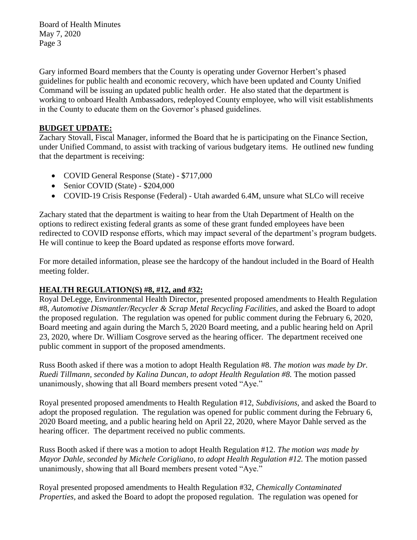Board of Health Minutes May 7, 2020 Page 3

Gary informed Board members that the County is operating under Governor Herbert's phased guidelines for public health and economic recovery, which have been updated and County Unified Command will be issuing an updated public health order. He also stated that the department is working to onboard Health Ambassadors, redeployed County employee, who will visit establishments in the County to educate them on the Governor's phased guidelines.

# **BUDGET UPDATE:**

Zachary Stovall, Fiscal Manager, informed the Board that he is participating on the Finance Section, under Unified Command, to assist with tracking of various budgetary items. He outlined new funding that the department is receiving:

- COVID General Response (State) \$717,000
- Senior COVID (State) \$204,000
- COVID-19 Crisis Response (Federal) Utah awarded 6.4M, unsure what SLCo will receive

Zachary stated that the department is waiting to hear from the Utah Department of Health on the options to redirect existing federal grants as some of these grant funded employees have been redirected to COVID response efforts, which may impact several of the department's program budgets. He will continue to keep the Board updated as response efforts move forward.

For more detailed information, please see the hardcopy of the handout included in the Board of Health meeting folder.

# **HEALTH REGULATION(S) #8, #12, and #32:**

Royal DeLegge, Environmental Health Director, presented proposed amendments to Health Regulation #8, *Automotive Dismantler/Recycler & Scrap Metal Recycling Facilities,* and asked the Board to adopt the proposed regulation. The regulation was opened for public comment during the February 6, 2020, Board meeting and again during the March 5, 2020 Board meeting, and a public hearing held on April 23, 2020, where Dr. William Cosgrove served as the hearing officer. The department received one public comment in support of the proposed amendments.

Russ Booth asked if there was a motion to adopt Health Regulation #8. *The motion was made by Dr. Ruedi Tillmann, seconded by Kalina Duncan, to adopt Health Regulation #8.* The motion passed unanimously, showing that all Board members present voted "Aye."

Royal presented proposed amendments to Health Regulation #12, *Subdivisions,* and asked the Board to adopt the proposed regulation. The regulation was opened for public comment during the February 6, 2020 Board meeting, and a public hearing held on April 22, 2020, where Mayor Dahle served as the hearing officer. The department received no public comments.

Russ Booth asked if there was a motion to adopt Health Regulation #12. *The motion was made by Mayor Dahle, seconded by Michele Corigliano, to adopt Health Regulation #12.* The motion passed unanimously, showing that all Board members present voted "Aye."

Royal presented proposed amendments to Health Regulation #32, *Chemically Contaminated Properties,* and asked the Board to adopt the proposed regulation. The regulation was opened for